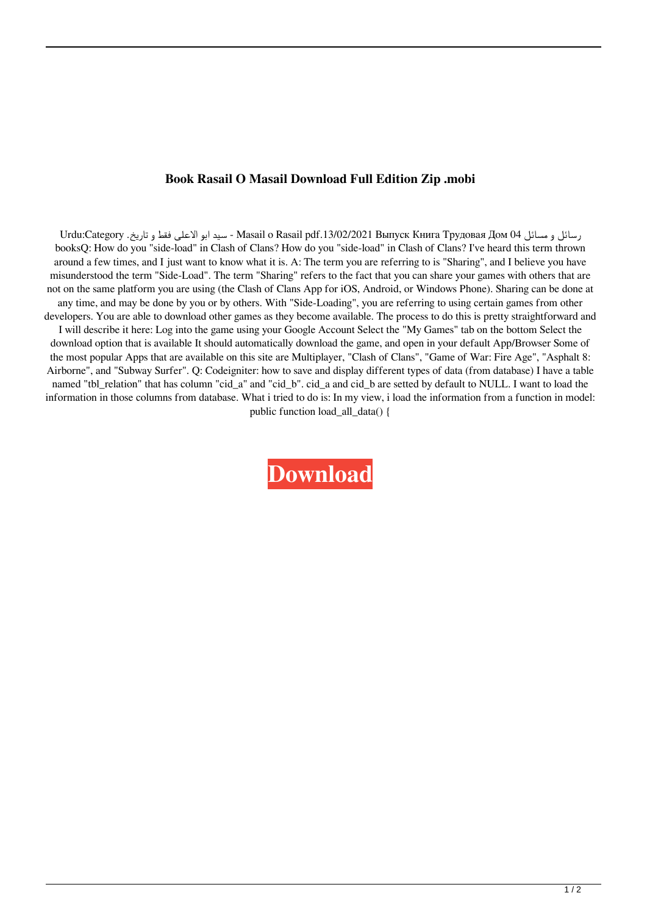## **Book Rasail O Masail Download Full Edition Zip .mobi**

Urdu:Category . سيد ابو الاعلی فقط و تاريخ Masail o Rasail pdf.13/02/2021 Выпуск Книга Трудовая Дом 04 booksQ: How do you "side-load" in Clash of Clans? How do you "side-load" in Clash of Clans? I've heard this term thrown around a few times, and I just want to know what it is. A: The term you are referring to is "Sharing", and I believe you have misunderstood the term "Side-Load". The term "Sharing" refers to the fact that you can share your games with others that are not on the same platform you are using (the Clash of Clans App for iOS, Android, or Windows Phone). Sharing can be done at any time, and may be done by you or by others. With "Side-Loading", you are referring to using certain games from other developers. You are able to download other games as they become available. The process to do this is pretty straightforward and I will describe it here: Log into the game using your Google Account Select the "My Games" tab on the bottom Select the download option that is available It should automatically download the game, and open in your default App/Browser Some of the most popular Apps that are available on this site are Multiplayer, "Clash of Clans", "Game of War: Fire Age", "Asphalt 8: Airborne", and "Subway Surfer". Q: Codeigniter: how to save and display different types of data (from database) I have a table named "tbl\_relation" that has column "cid\_a" and "cid\_b". cid\_a and cid\_b are setted by default to NULL. I want to load the information in those columns from database. What i tried to do is: In my view, i load the information from a function in model: public function load\_all\_data() {

**[Download](http://evacdir.com/tornado.alleys.boomed/eudora.UmFzYWlsIE8gTWFzYWlsLnBkZgUmF.goji.incalculable/morehouse.ZG93bmxvYWR8TWM2TVRFMU5IeDhNVFkxTWpjME1EZzJObng4TWpVM05IeDhLRTBwSUhKbFlXUXRZbXh2WnlCYlJtRnpkQ0JIUlU1ZA)**